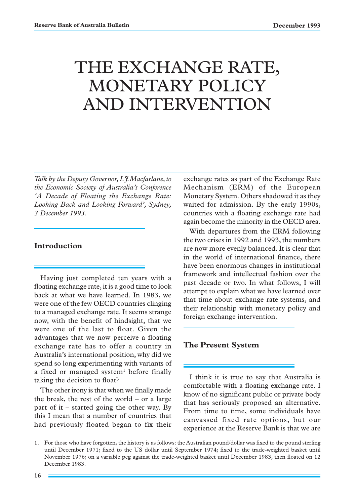# THE EXCHANGE RATE, MONETARY POLICY AND INTERVENTION

*Talk by the Deputy Governor, I.J.Macfarlane, to the Economic Society of Australia's Conference 'A Decade of Floating the Exchange Rate: Looking Back and Looking Forward', Sydney, 3 December 1993.*

# **Introduction**

Having just completed ten years with a floating exchange rate, it is a good time to look back at what we have learned. In 1983, we were one of the few OECD countries clinging to a managed exchange rate. It seems strange now, with the benefit of hindsight, that we were one of the last to float. Given the advantages that we now perceive a floating exchange rate has to offer a country in Australia's international position, why did we spend so long experimenting with variants of a fixed or managed system<sup>1</sup> before finally taking the decision to float?

The other irony is that when we finally made the break, the rest of the world – or a large part of it – started going the other way. By this I mean that a number of countries that had previously floated began to fix their exchange rates as part of the Exchange Rate Mechanism (ERM) of the European Monetary System. Others shadowed it as they waited for admission. By the early 1990s, countries with a floating exchange rate had again become the minority in the OECD area.

With departures from the ERM following the two crises in 1992 and 1993, the numbers are now more evenly balanced. It is clear that in the world of international finance, there have been enormous changes in institutional framework and intellectual fashion over the past decade or two. In what follows, I will attempt to explain what we have learned over that time about exchange rate systems, and their relationship with monetary policy and foreign exchange intervention.

# **The Present System**

I think it is true to say that Australia is comfortable with a floating exchange rate. I know of no significant public or private body that has seriously proposed an alternative. From time to time, some individuals have canvassed fixed rate options, but our experience at the Reserve Bank is that we are

<sup>1.</sup> For those who have forgotten, the history is as follows: the Australian pound/dollar was fixed to the pound sterling until December 1971; fixed to the US dollar until September 1974; fixed to the trade-weighted basket until November 1976; on a variable peg against the trade-weighted basket until December 1983, then floated on 12 December 1983.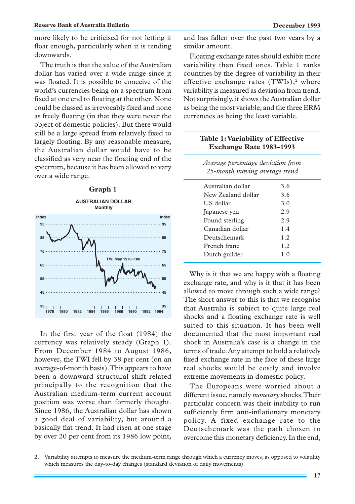more likely to be criticised for not letting it float enough, particularly when it is tending downwards.

The truth is that the value of the Australian dollar has varied over a wide range since it was floated. It is possible to conceive of the world's currencies being on a spectrum from fixed at one end to floating at the other. None could be classed as irrevocably fixed and none as freely floating (in that they were never the object of domestic policies). But there would still be a large spread from relatively fixed to largely floating. By any reasonable measure, the Australian dollar would have to be classified as very near the floating end of the spectrum, because it has been allowed to vary over a wide range.

#### **Graph 1**



In the first year of the float (1984) the currency was relatively steady (Graph 1). From December 1984 to August 1986, however, the TWI fell by 38 per cent (on an average-of-month basis). This appears to have been a downward structural shift related principally to the recognition that the Australian medium-term current account position was worse than formerly thought. Since 1986, the Australian dollar has shown a good deal of variability, but around a basically flat trend. It had risen at one stage by over 20 per cent from its 1986 low point,

and has fallen over the past two years by a similar amount.

Floating exchange rates should exhibit more variability than fixed ones. Table 1 ranks countries by the degree of variability in their effective exchange rates  $(TWIs),^2$  where variability is measured as deviation from trend. Not surprisingly, it shows the Australian dollar as being the most variable, and the three ERM currencies as being the least variable.

#### **Table 1: Variability of Effective Exchange Rate 1983-1993**

| Average percentage deviation from<br>25-month moving average trend |      |
|--------------------------------------------------------------------|------|
| Australian dollar                                                  | 3.6  |
| New Zealand dollar                                                 | 3.6  |
| US dollar                                                          | 3.0  |
| Japanese yen                                                       | 2.9  |
| Pound sterling                                                     | 2.9  |
| Canadian dollar                                                    | 1.4  |
| Deutschemark                                                       | 1.2. |
| French franc                                                       | 1.2. |
| Dutch guilder                                                      | 1.0  |

Why is it that we are happy with a floating exchange rate, and why is it that it has been allowed to move through such a wide range? The short answer to this is that we recognise that Australia is subject to quite large real shocks and a floating exchange rate is well suited to this situation. It has been well documented that the most important real shock in Australia's case is a change in the terms of trade. Any attempt to hold a relatively fixed exchange rate in the face of these large real shocks would be costly and involve extreme movements in domestic policy.

The Europeans were worried about a different issue, namely *monetary* shocks. Their particular concern was their inability to run sufficiently firm anti-inflationary monetary policy. A fixed exchange rate to the Deutschemark was the path chosen to overcome this monetary deficiency. In the end,

<sup>2.</sup> Variability attempts to measure the medium-term range through which a currency moves, as opposed to volatility which measures the day-to-day changes (standard deviation of daily movements).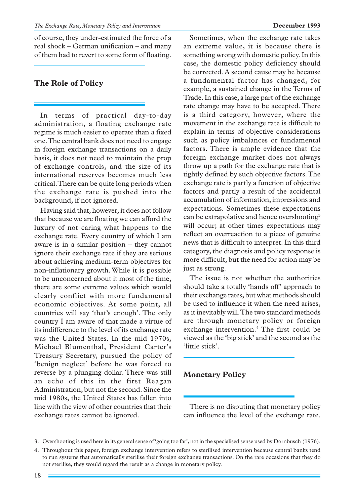of course, they under-estimated the force of a real shock – German unification – and many of them had to revert to some form of floating.

#### **The Role of Policy**

In terms of practical day-to-day administration, a floating exchange rate regime is much easier to operate than a fixed one. The central bank does not need to engage in foreign exchange transactions on a daily basis, it does not need to maintain the prop of exchange controls, and the size of its international reserves becomes much less critical. There can be quite long periods when the exchange rate is pushed into the background, if not ignored.

Having said that, however, it does not follow that because we are floating we can afford the luxury of not caring what happens to the exchange rate. Every country of which I am aware is in a similar position – they cannot ignore their exchange rate if they are serious about achieving medium-term objectives for non-inflationary growth. While it is possible to be unconcerned about it most of the time, there are some extreme values which would clearly conflict with more fundamental economic objectives. At some point, all countries will say 'that's enough'. The only country I am aware of that made a virtue of its indifference to the level of its exchange rate was the United States. In the mid 1970s, Michael Blumenthal, President Carter's Treasury Secretary, pursued the policy of 'benign neglect' before he was forced to reverse by a plunging dollar. There was still an echo of this in the first Reagan Administration, but not the second. Since the mid 1980s, the United States has fallen into line with the view of other countries that their exchange rates cannot be ignored.

Sometimes, when the exchange rate takes an extreme value, it is because there is something wrong with domestic policy. In this case, the domestic policy deficiency should be corrected. A second cause may be because a fundamental factor has changed, for example, a sustained change in the Terms of Trade. In this case, a large part of the exchange rate change may have to be accepted. There is a third category, however, where the movement in the exchange rate is difficult to explain in terms of objective considerations such as policy imbalances or fundamental factors. There is ample evidence that the foreign exchange market does not always throw up a path for the exchange rate that is tightly defined by such objective factors. The exchange rate is partly a function of objective factors and partly a result of the accidental accumulation of information, impressions and expectations. Sometimes these expectations can be extrapolative and hence overshooting<sup>3</sup> will occur; at other times expectations may reflect an overreaction to a piece of genuine news that is difficult to interpret. In this third category, the diagnosis and policy response is more difficult, but the need for action may be just as strong.

The issue is not whether the authorities should take a totally 'hands off' approach to their exchange rates, but what methods should be used to influence it when the need arises, as it inevitably will. The two standard methods are through monetary policy or foreign exchange intervention.<sup>4</sup> The first could be viewed as the 'big stick' and the second as the 'little stick'.

# **Monetary Policy**

There is no disputing that monetary policy can influence the level of the exchange rate.

4. Throughout this paper, foreign exchange intervention refers to sterilised intervention because central banks tend to run systems that automatically sterilise their foreign exchange transactions. On the rare occasions that they do not sterilise, they would regard the result as a change in monetary policy.

<sup>3.</sup> Overshooting is used here in its general sense of 'going too far', not in the specialised sense used by Dornbusch (1976).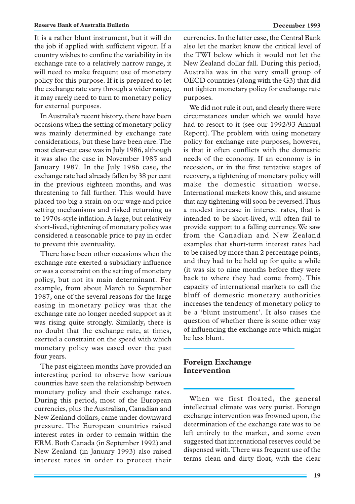It is a rather blunt instrument, but it will do the job if applied with sufficient vigour. If a country wishes to confine the variability in its exchange rate to a relatively narrow range, it will need to make frequent use of monetary policy for this purpose. If it is prepared to let the exchange rate vary through a wider range, it may rarely need to turn to monetary policy for external purposes.

In Australia's recent history, there have been occasions when the setting of monetary policy was mainly determined by exchange rate considerations, but these have been rare. The most clear-cut case was in July 1986, although it was also the case in November 1985 and January 1987. In the July 1986 case, the exchange rate had already fallen by 38 per cent in the previous eighteen months, and was threatening to fall further. This would have placed too big a strain on our wage and price setting mechanisms and risked returning us to 1970s-style inflation. A large, but relatively short-lived, tightening of monetary policy was considered a reasonable price to pay in order to prevent this eventuality.

There have been other occasions when the exchange rate exerted a subsidiary influence or was a constraint on the setting of monetary policy, but not its main determinant. For example, from about March to September 1987, one of the several reasons for the large easing in monetary policy was that the exchange rate no longer needed support as it was rising quite strongly. Similarly, there is no doubt that the exchange rate, at times, exerted a constraint on the speed with which monetary policy was eased over the past four years.

The past eighteen months have provided an interesting period to observe how various countries have seen the relationship between monetary policy and their exchange rates. During this period, most of the European currencies, plus the Australian, Canadian and New Zealand dollars, came under downward pressure. The European countries raised interest rates in order to remain within the ERM. Both Canada (in September 1992) and New Zealand (in January 1993) also raised interest rates in order to protect their currencies. In the latter case, the Central Bank also let the market know the critical level of the TWI below which it would not let the New Zealand dollar fall. During this period, Australia was in the very small group of OECD countries (along with the G3) that did not tighten monetary policy for exchange rate purposes.

We did not rule it out, and clearly there were circumstances under which we would have had to resort to it (see our 1992/93 Annual Report). The problem with using monetary policy for exchange rate purposes, however, is that it often conflicts with the domestic needs of the economy. If an economy is in recession, or in the first tentative stages of recovery, a tightening of monetary policy will make the domestic situation worse. International markets know this, and assume that any tightening will soon be reversed. Thus a modest increase in interest rates, that is intended to be short-lived, will often fail to provide support to a falling currency. We saw from the Canadian and New Zealand examples that short-term interest rates had to be raised by more than 2 percentage points, and they had to be held up for quite a while (it was six to nine months before they were back to where they had come from). This capacity of international markets to call the bluff of domestic monetary authorities increases the tendency of monetary policy to be a 'blunt instrument'. It also raises the question of whether there is some other way of influencing the exchange rate which might be less blunt.

#### **Foreign Exchange Intervention**

When we first floated, the general intellectual climate was very purist. Foreign exchange intervention was frowned upon, the determination of the exchange rate was to be left entirely to the market, and some even suggested that international reserves could be dispensed with. There was frequent use of the terms clean and dirty float, with the clear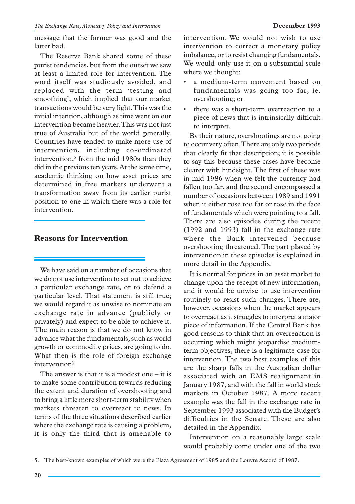message that the former was good and the latter bad.

The Reserve Bank shared some of these purist tendencies, but from the outset we saw at least a limited role for intervention. The word itself was studiously avoided, and replaced with the term 'testing and smoothing', which implied that our market transactions would be very light. This was the initial intention, although as time went on our intervention became heavier. This was not just true of Australia but of the world generally. Countries have tended to make more use of intervention, including co-ordinated intervention,<sup>5</sup> from the mid 1980s than they did in the previous ten years. At the same time, academic thinking on how asset prices are determined in free markets underwent a transformation away from its earlier purist position to one in which there was a role for intervention.

# **Reasons for Intervention**

We have said on a number of occasions that we do not use intervention to set out to achieve a particular exchange rate, or to defend a particular level. That statement is still true; we would regard it as unwise to nominate an exchange rate in advance (publicly or privately) and expect to be able to achieve it. The main reason is that we do not know in advance what the fundamentals, such as world growth or commodity prices, are going to do. What then is the role of foreign exchange intervention?

The answer is that it is a modest one – it is to make some contribution towards reducing the extent and duration of overshooting and to bring a little more short-term stability when markets threaten to overreact to news. In terms of the three situations described earlier where the exchange rate is causing a problem, it is only the third that is amenable to

intervention. We would not wish to use intervention to correct a monetary policy imbalance, or to resist changing fundamentals. We would only use it on a substantial scale where we thought:

- a medium-term movement based on fundamentals was going too far, ie. overshooting; or
- there was a short-term overreaction to a piece of news that is intrinsically difficult to interpret.

By their nature, overshootings are not going to occur very often. There are only two periods that clearly fit that description; it is possible to say this because these cases have become clearer with hindsight. The first of these was in mid 1986 when we felt the currency had fallen too far, and the second encompassed a number of occasions between 1989 and 1991 when it either rose too far or rose in the face of fundamentals which were pointing to a fall. There are also episodes during the recent (1992 and 1993) fall in the exchange rate where the Bank intervened because overshooting threatened. The part played by intervention in these episodes is explained in more detail in the Appendix.

It is normal for prices in an asset market to change upon the receipt of new information, and it would be unwise to use intervention routinely to resist such changes. There are, however, occasions when the market appears to overreact as it struggles to interpret a major piece of information. If the Central Bank has good reasons to think that an overreaction is occurring which might jeopardise mediumterm objectives, there is a legitimate case for intervention. The two best examples of this are the sharp falls in the Australian dollar associated with an EMS realignment in January 1987, and with the fall in world stock markets in October 1987. A more recent example was the fall in the exchange rate in September 1993 associated with the Budget's difficulties in the Senate. These are also detailed in the Appendix.

Intervention on a reasonably large scale would probably come under one of the two

<sup>5.</sup> The best-known examples of which were the Plaza Agreement of 1985 and the Louvre Accord of 1987.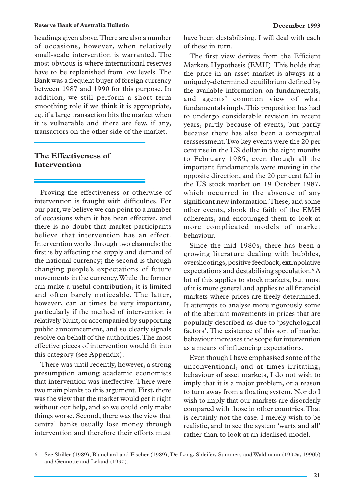headings given above. There are also a number of occasions, however, when relatively small-scale intervention is warranted. The most obvious is where international reserves have to be replenished from low levels. The Bank was a frequent buyer of foreign currency between 1987 and 1990 for this purpose. In addition, we still perform a short-term smoothing role if we think it is appropriate, eg. if a large transaction hits the market when it is vulnerable and there are few, if any, transactors on the other side of the market.

# **The Effectiveness of Intervention**

Proving the effectiveness or otherwise of intervention is fraught with difficulties. For our part, we believe we can point to a number of occasions when it has been effective, and there is no doubt that market participants believe that intervention has an effect. Intervention works through two channels: the first is by affecting the supply and demand of the national currency; the second is through changing people's expectations of future movements in the currency. While the former can make a useful contribution, it is limited and often barely noticeable. The latter, however, can at times be very important, particularly if the method of intervention is relatively blunt, or accompanied by supporting public announcement, and so clearly signals resolve on behalf of the authorities. The most effective pieces of intervention would fit into this category (see Appendix).

There was until recently, however, a strong presumption among academic economists that intervention was ineffective. There were two main planks to this argument. First, there was the view that the market would get it right without our help, and so we could only make things worse. Second, there was the view that central banks usually lose money through intervention and therefore their efforts must have been destabilising. I will deal with each of these in turn.

The first view derives from the Efficient Markets Hypothesis (EMH). This holds that the price in an asset market is always at a uniquely-determined equilibrium defined by the available information on fundamentals, and agents' common view of what fundamentals imply. This proposition has had to undergo considerable revision in recent years, partly because of events, but partly because there has also been a conceptual reassessment. Two key events were the 20 per cent rise in the US dollar in the eight months to February 1985, even though all the important fundamentals were moving in the opposite direction, and the 20 per cent fall in the US stock market on 19 October 1987, which occurred in the absence of any significant new information. These, and some other events, shook the faith of the EMH adherents, and encouraged them to look at more complicated models of market behaviour.

Since the mid 1980s, there has been a growing literature dealing with bubbles, overshootings, positive feedback, extrapolative expectations and destabilising speculation.<sup>6</sup> A lot of this applies to stock markets, but most of it is more general and applies to all financial markets where prices are freely determined. It attempts to analyse more rigorously some of the aberrant movements in prices that are popularly described as due to 'psychological factors'. The existence of this sort of market behaviour increases the scope for intervention as a means of influencing expectations.

Even though I have emphasised some of the unconventional, and at times irritating, behaviour of asset markets, I do not wish to imply that it is a major problem, or a reason to turn away from a floating system. Nor do I wish to imply that our markets are disorderly compared with those in other countries. That is certainly not the case. I merely wish to be realistic, and to see the system 'warts and all' rather than to look at an idealised model.

<sup>6.</sup> See Shiller (1989), Blanchard and Fischer (1989), De Long, Shleifer, Summers and Waldmann (1990a, 1990b) and Gennotte and Leland (1990).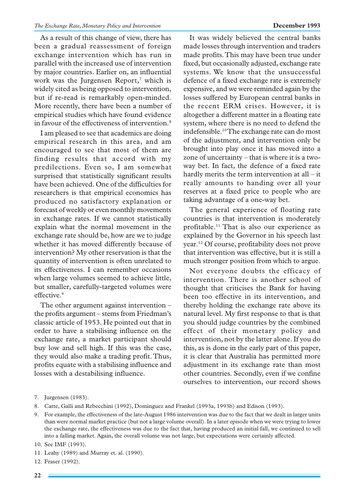As a result of this change of view, there has been a gradual reassessment of foreign exchange intervention which has run in parallel with the increased use of intervention by major countries. Earlier on, an influential work was the Jurgensen Report,<sup>7</sup> which is widely cited as being opposed to intervention, but if re-read is remarkably open-minded. More recently, there have been a number of empirical studies which have found evidence in favour of the effectiveness of intervention.<sup>8</sup>

I am pleased to see that academics are doing empirical research in this area, and am encouraged to see that most of them are finding results that accord with my predilections. Even so, I am somewhat surprised that statistically significant results have been achieved. One of the difficulties for researchers is that empirical economics has produced no satisfactory explanation or forecast of weekly or even monthly movements in exchange rates. If we cannot statistically explain what the normal movement in the exchange rate should be, how are we to judge whether it has moved differently because of intervention? My other reservation is that the quantity of intervention is often unrelated to its effectiveness. I can remember occasions when large volumes seemed to achieve little, but smaller, carefully-targeted volumes were effective.<sup>9</sup>

The other argument against intervention – the profits argument – stems from Friedman's classic article of 1953. He pointed out that in order to have a stabilising influence on the exchange rate, a market participant should buy low and sell high. If this was the case, they would also make a trading profit. Thus, profits equate with a stabilising influence and losses with a destabilising influence.

It was widely believed the central banks made losses through intervention and traders made profits. This may have been true under fixed, but occasionally adjusted, exchange rate systems. We know that the unsuccessful defence of a fixed exchange rate is extremely expensive, and we were reminded again by the losses suffered by European central banks in the recent ERM crises. However, it is altogether a different matter in a floating rate system, where there is no need to defend the indefensible.10The exchange rate can do most of the adjustment, and intervention only be brought into play once it has moved into a zone of uncertainty – that is where it is a twoway bet. In fact, the defence of a fixed rate hardly merits the term intervention at all – it really amounts to handing over all your reserves at a fixed price to people who are taking advantage of a one-way bet.

The general experience of floating rate countries is that intervention is moderately profitable.11 That is also our experience as explained by the Governor in his speech last year.12 Of course, profitability does not prove that intervention was effective, but it is still a much stronger position from which to argue.

Not everyone doubts the efficacy of intervention. There is another school of thought that criticises the Bank for having been too effective in its intervention, and thereby holding the exchange rate above its natural level. My first response to that is that you should judge countries by the combined effect of their monetary policy and intervention, not by the latter alone. If you do this, as is done in the early part of this paper, it is clear that Australia has permitted more adjustment in its exchange rate than most other countries. Secondly, even if we confine ourselves to intervention, our record shows

9. For example, the effectiveness of the late-August 1986 intervention was due to the fact that we dealt in larger units than were normal market practice (but not a large volume overall). In a later episode when we were trying to lower the exchange rate, the effectiveness was due to the fact that, having produced an initial fall, we continued to sell into a falling market. Again, the overall volume was not large, but expectations were certainly affected.

- 11. Leahy (1989) and Murray et. al. (1990).
- 12. Fraser (1992).

<sup>7.</sup> Jurgensen (1983).

<sup>8.</sup> Catte, Galli and Rebecchini (1992), Dominguez and Frankel (1993a, 1993b) and Edison (1993).

<sup>10.</sup> See IMF (1993).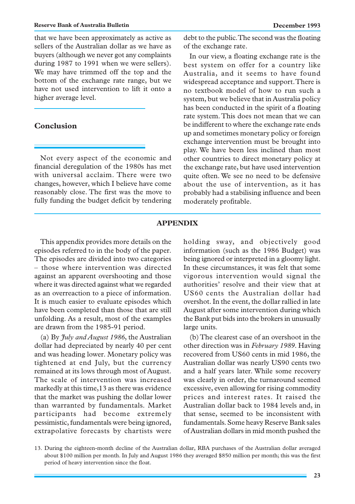that we have been approximately as active as sellers of the Australian dollar as we have as buyers (although we never got any complaints during 1987 to 1991 when we were sellers). We may have trimmed off the top and the bottom of the exchange rate range, but we have not used intervention to lift it onto a higher average level.

#### **Conclusion**

Not every aspect of the economic and financial deregulation of the 1980s has met with universal acclaim. There were two changes, however, which I believe have come reasonably close. The first was the move to fully funding the budget deficit by tendering debt to the public. The second was the floating of the exchange rate.

In our view, a floating exchange rate is the best system on offer for a country like Australia, and it seems to have found widespread acceptance and support. There is no textbook model of how to run such a system, but we believe that in Australia policy has been conducted in the spirit of a floating rate system. This does not mean that we can be indifferent to where the exchange rate ends up and sometimes monetary policy or foreign exchange intervention must be brought into play. We have been less inclined than most other countries to direct monetary policy at the exchange rate, but have used intervention quite often. We see no need to be defensive about the use of intervention, as it has probably had a stabilising influence and been moderately profitable.

#### **APPENDIX**

This appendix provides more details on the episodes referred to in the body of the paper. The episodes are divided into two categories – those where intervention was directed against an apparent overshooting and those where it was directed against what we regarded as an overreaction to a piece of information. It is much easier to evaluate episodes which have been completed than those that are still unfolding. As a result, most of the examples are drawn from the 1985-91 period.

(a) By *July and August 1986*, the Australian dollar had depreciated by nearly 40 per cent and was heading lower. Monetary policy was tightened at end July, but the currency remained at its lows through most of August. The scale of intervention was increased markedly at this time,13 as there was evidence that the market was pushing the dollar lower than warranted by fundamentals. Market participants had become extremely pessimistic, fundamentals were being ignored, extrapolative forecasts by chartists were holding sway, and objectively good information (such as the 1986 Budget) was being ignored or interpreted in a gloomy light. In these circumstances, it was felt that some vigorous intervention would signal the authorities' resolve and their view that at US60 cents the Australian dollar had overshot. In the event, the dollar rallied in late August after some intervention during which the Bank put bids into the brokers in unusually large units.

(b) The clearest case of an overshoot in the other direction was in *February 1989*. Having recovered from US60 cents in mid 1986, the Australian dollar was nearly US90 cents two and a half years later. While some recovery was clearly in order, the turnaround seemed excessive, even allowing for rising commodity prices and interest rates. It raised the Australian dollar back to 1984 levels and, in that sense, seemed to be inconsistent with fundamentals. Some heavy Reserve Bank sales of Australian dollars in mid month pushed the

<sup>13.</sup> During the eighteen-month decline of the Australian dollar, RBA purchases of the Australian dollar averaged about \$100 million per month. In July and August 1986 they averaged \$850 million per month; this was the first period of heavy intervention since the float.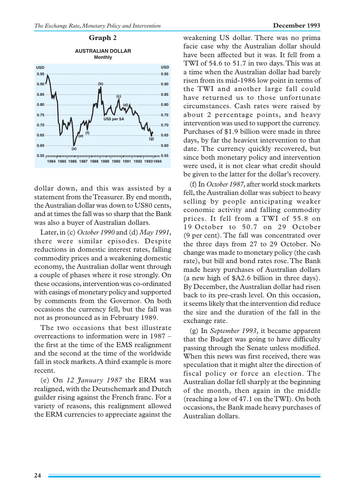#### **Graph 2**



dollar down, and this was assisted by a statement from the Treasurer. By end month, the Australian dollar was down to US80 cents, and at times the fall was so sharp that the Bank was also a buyer of Australian dollars.

Later, in (c) *October 1990* and (d) *May 1991*, there were similar episodes. Despite reductions in domestic interest rates, falling commodity prices and a weakening domestic economy, the Australian dollar went through a couple of phases where it rose strongly. On these occasions, intervention was co-ordinated with easings of monetary policy and supported by comments from the Governor. On both occasions the currency fell, but the fall was not as pronounced as in February 1989.

The two occasions that best illustrate overreactions to information were in 1987 – the first at the time of the EMS realignment and the second at the time of the worldwide fall in stock markets. A third example is more recent.

(e) On *12 January 1987* the ERM was realigned, with the Deutschemark and Dutch guilder rising against the French franc. For a variety of reasons, this realignment allowed the ERM currencies to appreciate against the weakening US dollar. There was no prima facie case why the Australian dollar should have been affected but it was. It fell from a TWI of 54.6 to 51.7 in two days. This was at a time when the Australian dollar had barely risen from its mid-1986 low point in terms of the TWI and another large fall could have returned us to those unfortunate circumstances. Cash rates were raised by about 2 percentage points, and heavy intervention was used to support the currency. Purchases of \$1.9 billion were made in three days, by far the heaviest intervention to that date. The currency quickly recovered, but since both monetary policy and intervention were used, it is not clear what credit should be given to the latter for the dollar's recovery.

(f) In *October 1987*, after world stock markets fell, the Australian dollar was subject to heavy selling by people anticipating weaker economic activity and falling commodity prices. It fell from a TWI of 55.8 on 19 October to 50.7 on 29 October (9 per cent). The fall was concentrated over the three days from 27 to 29 October. No change was made to monetary policy (the cash rate), but bill and bond rates rose. The Bank made heavy purchases of Australian dollars (a new high of \$A2.6 billion in three days). By December, the Australian dollar had risen back to its pre-crash level. On this occasion, it seems likely that the intervention did reduce the size and the duration of the fall in the exchange rate.

(g) In *September 1993*, it became apparent that the Budget was going to have difficulty passing through the Senate unless modified. When this news was first received, there was speculation that it might alter the direction of fiscal policy or force an election. The Australian dollar fell sharply at the beginning of the month, then again in the middle (reaching a low of 47.1 on the TWI). On both occasions, the Bank made heavy purchases of Australian dollars.